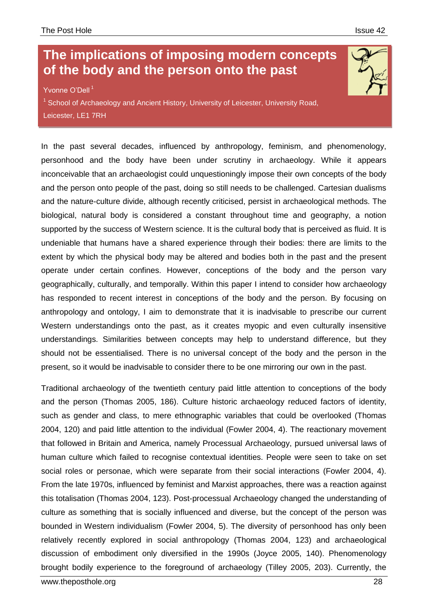## **The implications of imposing modern concepts of the body and the person onto the past**

Yvonne O'Dell<sup>1</sup>

Email: yvod1@student.le.ac.uk

<sup>1</sup> School of Archaeology and Ancient History, University of Leicester, University Road, Leicester, LE1 7RH

In the past several decades, influenced by anthropology, feminism, and phenomenology, personhood and the body have been under scrutiny in archaeology. While it appears inconceivable that an archaeologist could unquestioningly impose their own concepts of the body and the person onto people of the past, doing so still needs to be challenged. Cartesian dualisms and the nature-culture divide, although recently criticised, persist in archaeological methods. The biological, natural body is considered a constant throughout time and geography, a notion supported by the success of Western science. It is the cultural body that is perceived as fluid. It is undeniable that humans have a shared experience through their bodies: there are limits to the extent by which the physical body may be altered and bodies both in the past and the present operate under certain confines. However, conceptions of the body and the person vary geographically, culturally, and temporally. Within this paper I intend to consider how archaeology has responded to recent interest in conceptions of the body and the person. By focusing on anthropology and ontology, I aim to demonstrate that it is inadvisable to prescribe our current Western understandings onto the past, as it creates myopic and even culturally insensitive understandings. Similarities between concepts may help to understand difference, but they should not be essentialised. There is no universal concept of the body and the person in the present, so it would be inadvisable to consider there to be one mirroring our own in the past.

Traditional archaeology of the twentieth century paid little attention to conceptions of the body and the person (Thomas 2005, 186). Culture historic archaeology reduced factors of identity, such as gender and class, to mere ethnographic variables that could be overlooked (Thomas 2004, 120) and paid little attention to the individual (Fowler 2004, 4). The reactionary movement that followed in Britain and America, namely Processual Archaeology, pursued universal laws of human culture which failed to recognise contextual identities. People were seen to take on set social roles or personae, which were separate from their social interactions (Fowler 2004, 4). From the late 1970s, influenced by feminist and Marxist approaches, there was a reaction against this totalisation (Thomas 2004, 123). Post-processual Archaeology changed the understanding of culture as something that is socially influenced and diverse, but the concept of the person was bounded in Western individualism (Fowler 2004, 5). The diversity of personhood has only been relatively recently explored in social anthropology (Thomas 2004, 123) and archaeological discussion of embodiment only diversified in the 1990s (Joyce 2005, 140). Phenomenology brought bodily experience to the foreground of archaeology (Tilley 2005, 203). Currently, the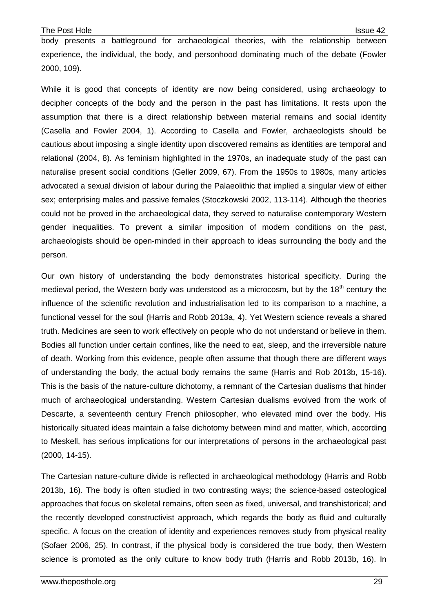body presents a battleground for archaeological theories, with the relationship between experience, the individual, the body, and personhood dominating much of the debate (Fowler 2000, 109).

While it is good that concepts of identity are now being considered, using archaeology to decipher concepts of the body and the person in the past has limitations. It rests upon the assumption that there is a direct relationship between material remains and social identity (Casella and Fowler 2004, 1). According to Casella and Fowler, archaeologists should be cautious about imposing a single identity upon discovered remains as identities are temporal and relational (2004, 8). As feminism highlighted in the 1970s, an inadequate study of the past can naturalise present social conditions (Geller 2009, 67). From the 1950s to 1980s, many articles advocated a sexual division of labour during the Palaeolithic that implied a singular view of either sex; enterprising males and passive females (Stoczkowski 2002, 113-114). Although the theories could not be proved in the archaeological data, they served to naturalise contemporary Western gender inequalities. To prevent a similar imposition of modern conditions on the past, archaeologists should be open-minded in their approach to ideas surrounding the body and the person.

Our own history of understanding the body demonstrates historical specificity. During the medieval period, the Western body was understood as a microcosm, but by the 18<sup>th</sup> century the influence of the scientific revolution and industrialisation led to its comparison to a machine, a functional vessel for the soul (Harris and Robb 2013a, 4). Yet Western science reveals a shared truth. Medicines are seen to work effectively on people who do not understand or believe in them. Bodies all function under certain confines, like the need to eat, sleep, and the irreversible nature of death. Working from this evidence, people often assume that though there are different ways of understanding the body, the actual body remains the same (Harris and Rob 2013b, 15-16). This is the basis of the nature-culture dichotomy, a remnant of the Cartesian dualisms that hinder much of archaeological understanding. Western Cartesian dualisms evolved from the work of Descarte, a seventeenth century French philosopher, who elevated mind over the body. His historically situated ideas maintain a false dichotomy between mind and matter, which, according to Meskell, has serious implications for our interpretations of persons in the archaeological past (2000, 14-15).

The Cartesian nature-culture divide is reflected in archaeological methodology (Harris and Robb 2013b, 16). The body is often studied in two contrasting ways; the science-based osteological approaches that focus on skeletal remains, often seen as fixed, universal, and transhistorical; and the recently developed constructivist approach, which regards the body as fluid and culturally specific. A focus on the creation of identity and experiences removes study from physical reality (Sofaer 2006, 25). In contrast, if the physical body is considered the true body, then Western science is promoted as the only culture to know body truth (Harris and Robb 2013b, 16). In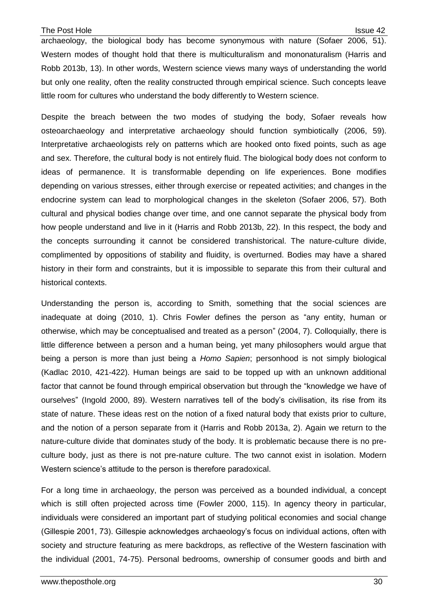archaeology, the biological body has become synonymous with nature (Sofaer 2006, 51). Western modes of thought hold that there is multiculturalism and mononaturalism (Harris and Robb 2013b, 13). In other words, Western science views many ways of understanding the world but only one reality, often the reality constructed through empirical science. Such concepts leave little room for cultures who understand the body differently to Western science.

Despite the breach between the two modes of studying the body, Sofaer reveals how osteoarchaeology and interpretative archaeology should function symbiotically (2006, 59). Interpretative archaeologists rely on patterns which are hooked onto fixed points, such as age and sex. Therefore, the cultural body is not entirely fluid. The biological body does not conform to ideas of permanence. It is transformable depending on life experiences. Bone modifies depending on various stresses, either through exercise or repeated activities; and changes in the endocrine system can lead to morphological changes in the skeleton (Sofaer 2006, 57). Both cultural and physical bodies change over time, and one cannot separate the physical body from how people understand and live in it (Harris and Robb 2013b, 22). In this respect, the body and the concepts surrounding it cannot be considered transhistorical. The nature-culture divide, complimented by oppositions of stability and fluidity, is overturned. Bodies may have a shared history in their form and constraints, but it is impossible to separate this from their cultural and historical contexts.

Understanding the person is, according to Smith, something that the social sciences are inadequate at doing (2010, 1). Chris Fowler defines the person as "any entity, human or otherwise, which may be conceptualised and treated as a person" (2004, 7). Colloquially, there is little difference between a person and a human being, yet many philosophers would argue that being a person is more than just being a *Homo Sapien*; personhood is not simply biological (Kadlac 2010, 421-422). Human beings are said to be topped up with an unknown additional factor that cannot be found through empirical observation but through the "knowledge we have of ourselves" (Ingold 2000, 89). Western narratives tell of the body's civilisation, its rise from its state of nature. These ideas rest on the notion of a fixed natural body that exists prior to culture, and the notion of a person separate from it (Harris and Robb 2013a, 2). Again we return to the nature-culture divide that dominates study of the body. It is problematic because there is no preculture body, just as there is not pre-nature culture. The two cannot exist in isolation. Modern Western science's attitude to the person is therefore paradoxical.

For a long time in archaeology, the person was perceived as a bounded individual, a concept which is still often projected across time (Fowler 2000, 115). In agency theory in particular, individuals were considered an important part of studying political economies and social change (Gillespie 2001, 73). Gillespie acknowledges archaeology's focus on individual actions, often with society and structure featuring as mere backdrops, as reflective of the Western fascination with the individual (2001, 74-75). Personal bedrooms, ownership of consumer goods and birth and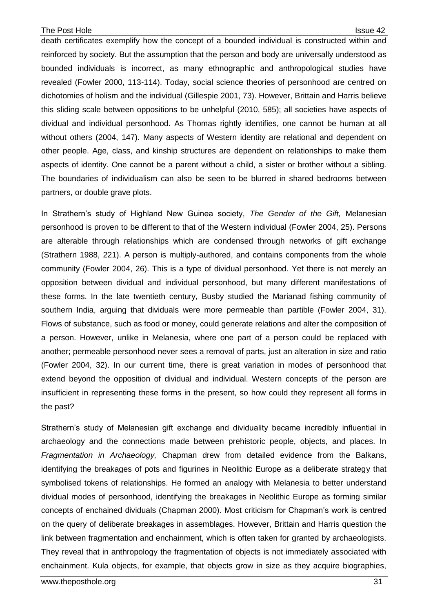death certificates exemplify how the concept of a bounded individual is constructed within and reinforced by society. But the assumption that the person and body are universally understood as bounded individuals is incorrect, as many ethnographic and anthropological studies have revealed (Fowler 2000, 113-114). Today, social science theories of personhood are centred on dichotomies of holism and the individual (Gillespie 2001, 73). However, Brittain and Harris believe this sliding scale between oppositions to be unhelpful (2010, 585); all societies have aspects of dividual and individual personhood. As Thomas rightly identifies, one cannot be human at all without others (2004, 147). Many aspects of Western identity are relational and dependent on other people. Age, class, and kinship structures are dependent on relationships to make them aspects of identity. One cannot be a parent without a child, a sister or brother without a sibling. The boundaries of individualism can also be seen to be blurred in shared bedrooms between partners, or double grave plots.

In Strathern's study of Highland New Guinea society, *The Gender of the Gift,* Melanesian personhood is proven to be different to that of the Western individual (Fowler 2004, 25). Persons are alterable through relationships which are condensed through networks of gift exchange (Strathern 1988, 221). A person is multiply-authored, and contains components from the whole community (Fowler 2004, 26). This is a type of dividual personhood. Yet there is not merely an opposition between dividual and individual personhood, but many different manifestations of these forms. In the late twentieth century, Busby studied the Marianad fishing community of southern India, arguing that dividuals were more permeable than partible (Fowler 2004, 31). Flows of substance, such as food or money, could generate relations and alter the composition of a person. However, unlike in Melanesia, where one part of a person could be replaced with another; permeable personhood never sees a removal of parts, just an alteration in size and ratio (Fowler 2004, 32). In our current time, there is great variation in modes of personhood that extend beyond the opposition of dividual and individual. Western concepts of the person are insufficient in representing these forms in the present, so how could they represent all forms in the past?

Strathern's study of Melanesian gift exchange and dividuality became incredibly influential in archaeology and the connections made between prehistoric people, objects, and places. In *Fragmentation in Archaeology,* Chapman drew from detailed evidence from the Balkans, identifying the breakages of pots and figurines in Neolithic Europe as a deliberate strategy that symbolised tokens of relationships. He formed an analogy with Melanesia to better understand dividual modes of personhood, identifying the breakages in Neolithic Europe as forming similar concepts of enchained dividuals (Chapman 2000). Most criticism for Chapman's work is centred on the query of deliberate breakages in assemblages. However, Brittain and Harris question the link between fragmentation and enchainment, which is often taken for granted by archaeologists. They reveal that in anthropology the fragmentation of objects is not immediately associated with enchainment. Kula objects, for example, that objects grow in size as they acquire biographies,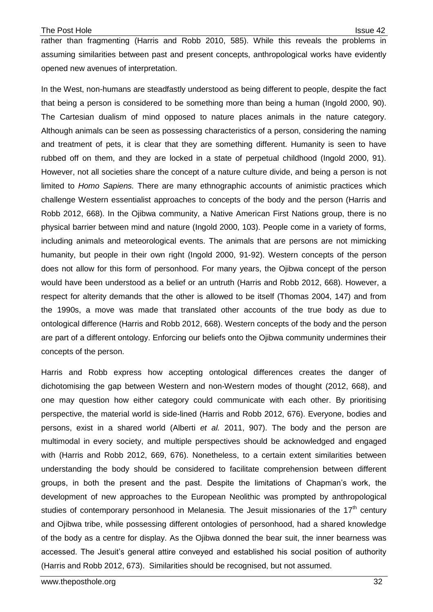rather than fragmenting (Harris and Robb 2010, 585). While this reveals the problems in assuming similarities between past and present concepts, anthropological works have evidently opened new avenues of interpretation.

In the West, non-humans are steadfastly understood as being different to people, despite the fact that being a person is considered to be something more than being a human (Ingold 2000, 90). The Cartesian dualism of mind opposed to nature places animals in the nature category. Although animals can be seen as possessing characteristics of a person, considering the naming and treatment of pets, it is clear that they are something different. Humanity is seen to have rubbed off on them, and they are locked in a state of perpetual childhood (Ingold 2000, 91). However, not all societies share the concept of a nature culture divide, and being a person is not limited to *Homo Sapiens.* There are many ethnographic accounts of animistic practices which challenge Western essentialist approaches to concepts of the body and the person (Harris and Robb 2012, 668). In the Ojibwa community, a Native American First Nations group, there is no physical barrier between mind and nature (Ingold 2000, 103). People come in a variety of forms, including animals and meteorological events. The animals that are persons are not mimicking humanity, but people in their own right (Ingold 2000, 91-92). Western concepts of the person does not allow for this form of personhood. For many years, the Ojibwa concept of the person would have been understood as a belief or an untruth (Harris and Robb 2012, 668). However, a respect for alterity demands that the other is allowed to be itself (Thomas 2004, 147) and from the 1990s, a move was made that translated other accounts of the true body as due to ontological difference (Harris and Robb 2012, 668). Western concepts of the body and the person are part of a different ontology. Enforcing our beliefs onto the Ojibwa community undermines their concepts of the person.

Harris and Robb express how accepting ontological differences creates the danger of dichotomising the gap between Western and non-Western modes of thought (2012, 668), and one may question how either category could communicate with each other. By prioritising perspective, the material world is side-lined (Harris and Robb 2012, 676). Everyone, bodies and persons, exist in a shared world (Alberti *et al.* 2011, 907). The body and the person are multimodal in every society, and multiple perspectives should be acknowledged and engaged with (Harris and Robb 2012, 669, 676). Nonetheless, to a certain extent similarities between understanding the body should be considered to facilitate comprehension between different groups, in both the present and the past. Despite the limitations of Chapman's work, the development of new approaches to the European Neolithic was prompted by anthropological studies of contemporary personhood in Melanesia. The Jesuit missionaries of the  $17<sup>th</sup>$  century and Ojibwa tribe, while possessing different ontologies of personhood, had a shared knowledge of the body as a centre for display. As the Ojibwa donned the bear suit, the inner bearness was accessed. The Jesuit's general attire conveyed and established his social position of authority (Harris and Robb 2012, 673). Similarities should be recognised, but not assumed.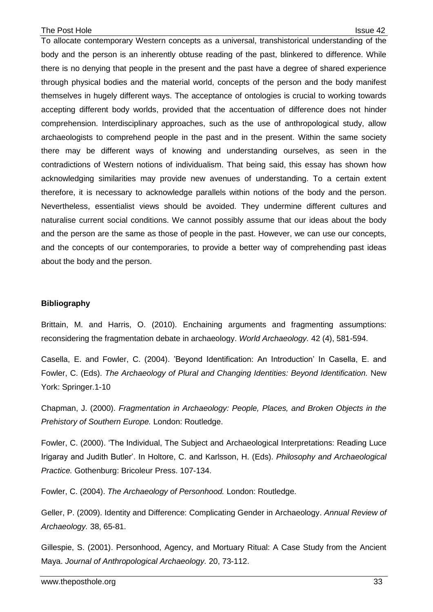To allocate contemporary Western concepts as a universal, transhistorical understanding of the body and the person is an inherently obtuse reading of the past, blinkered to difference. While there is no denying that people in the present and the past have a degree of shared experience through physical bodies and the material world, concepts of the person and the body manifest themselves in hugely different ways. The acceptance of ontologies is crucial to working towards accepting different body worlds, provided that the accentuation of difference does not hinder comprehension. Interdisciplinary approaches, such as the use of anthropological study, allow archaeologists to comprehend people in the past and in the present. Within the same society there may be different ways of knowing and understanding ourselves, as seen in the contradictions of Western notions of individualism. That being said, this essay has shown how acknowledging similarities may provide new avenues of understanding. To a certain extent therefore, it is necessary to acknowledge parallels within notions of the body and the person. Nevertheless, essentialist views should be avoided. They undermine different cultures and naturalise current social conditions. We cannot possibly assume that our ideas about the body and the person are the same as those of people in the past. However, we can use our concepts, and the concepts of our contemporaries, to provide a better way of comprehending past ideas about the body and the person.

## **Bibliography**

Brittain, M. and Harris, O. (2010). Enchaining arguments and fragmenting assumptions: reconsidering the fragmentation debate in archaeology. *World Archaeology.* 42 (4), 581-594.

Casella, E. and Fowler, C. (2004). 'Beyond Identification: An Introduction' In Casella, E. and Fowler, C. (Eds). *The Archaeology of Plural and Changing Identities: Beyond Identification.* New York: Springer.1-10

Chapman, J. (2000). *Fragmentation in Archaeology: People, Places, and Broken Objects in the Prehistory of Southern Europe.* London: Routledge.

Fowler, C. (2000). 'The Individual, The Subject and Archaeological Interpretations: Reading Luce Irigaray and Judith Butler'. In Holtore, C. and Karlsson, H. (Eds). *Philosophy and Archaeological Practice.* Gothenburg: Bricoleur Press. 107-134.

Fowler, C. (2004). *The Archaeology of Personhood.* London: Routledge.

Geller, P. (2009). Identity and Difference: Complicating Gender in Archaeology. *Annual Review of Archaeology.* 38, 65-81.

Gillespie, S. (2001). Personhood, Agency, and Mortuary Ritual: A Case Study from the Ancient Maya. *Journal of Anthropological Archaeology.* 20, 73-112.